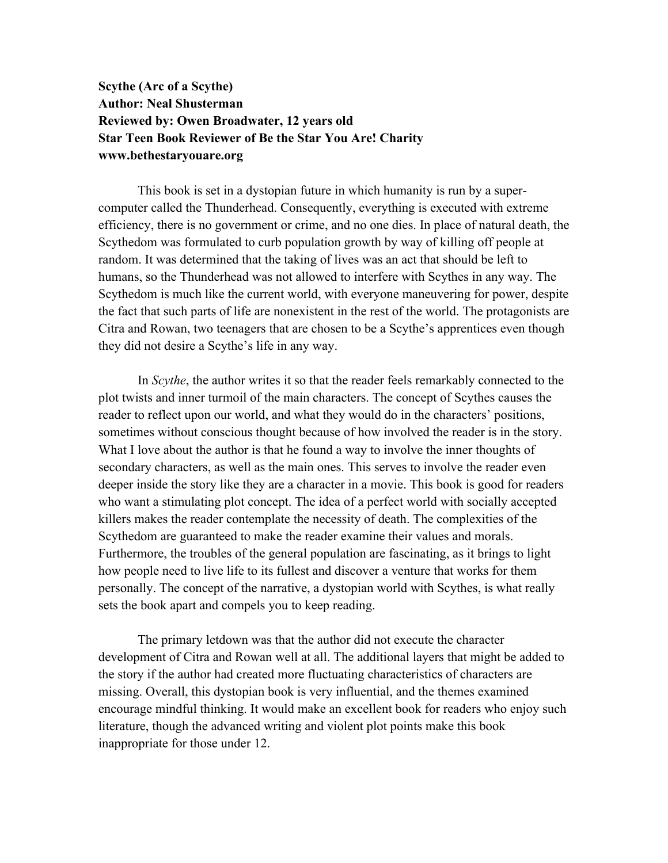## **Scythe (Arc of a Scythe) Author: Neal Shusterman Reviewed by: Owen Broadwater, 12 years old Star Teen Book Reviewer of Be the Star You Are! Charity www.bethestaryouare.org**

This book is set in a dystopian future in which humanity is run by a supercomputer called the Thunderhead. Consequently, everything is executed with extreme efficiency, there is no government or crime, and no one dies. In place of natural death, the Scythedom was formulated to curb population growth by way of killing off people at random. It was determined that the taking of lives was an act that should be left to humans, so the Thunderhead was not allowed to interfere with Scythes in any way. The Scythedom is much like the current world, with everyone maneuvering for power, despite the fact that such parts of life are nonexistent in the rest of the world. The protagonists are Citra and Rowan, two teenagers that are chosen to be a Scythe's apprentices even though they did not desire a Scythe's life in any way.

In *Scythe*, the author writes it so that the reader feels remarkably connected to the plot twists and inner turmoil of the main characters. The concept of Scythes causes the reader to reflect upon our world, and what they would do in the characters' positions, sometimes without conscious thought because of how involved the reader is in the story. What I love about the author is that he found a way to involve the inner thoughts of secondary characters, as well as the main ones. This serves to involve the reader even deeper inside the story like they are a character in a movie. This book is good for readers who want a stimulating plot concept. The idea of a perfect world with socially accepted killers makes the reader contemplate the necessity of death. The complexities of the Scythedom are guaranteed to make the reader examine their values and morals. Furthermore, the troubles of the general population are fascinating, as it brings to light how people need to live life to its fullest and discover a venture that works for them personally. The concept of the narrative, a dystopian world with Scythes, is what really sets the book apart and compels you to keep reading.

The primary letdown was that the author did not execute the character development of Citra and Rowan well at all. The additional layers that might be added to the story if the author had created more fluctuating characteristics of characters are missing. Overall, this dystopian book is very influential, and the themes examined encourage mindful thinking. It would make an excellent book for readers who enjoy such literature, though the advanced writing and violent plot points make this book inappropriate for those under 12.